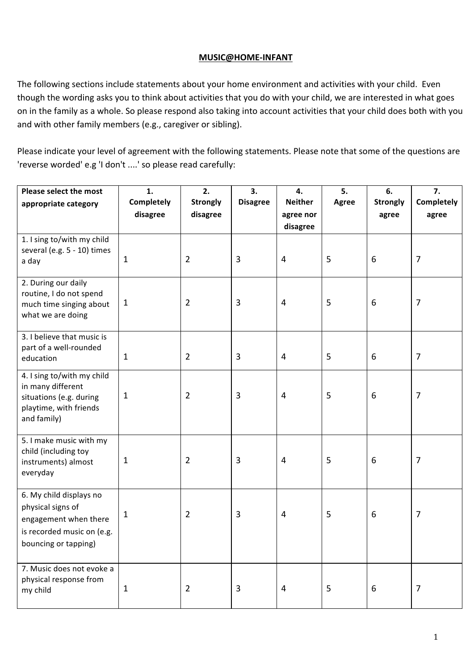## **MUSIC@HOME-INFANT**

The following sections include statements about your home environment and activities with your child. Even though the wording asks you to think about activities that you do with your child, we are interested in what goes on in the family as a whole. So please respond also taking into account activities that your child does both with you and with other family members (e.g., caregiver or sibling).

Please indicate your level of agreement with the following statements. Please note that some of the questions are 'reverse worded' e.g 'I don't ....' so please read carefully:

| Please select the most                                                                                                      | 1.                            | 2.                          | 3.              | 4.                          | 5.    | 6.                       | 7.                  |
|-----------------------------------------------------------------------------------------------------------------------------|-------------------------------|-----------------------------|-----------------|-----------------------------|-------|--------------------------|---------------------|
| appropriate category                                                                                                        | <b>Completely</b><br>disagree | <b>Strongly</b><br>disagree | <b>Disagree</b> | <b>Neither</b><br>agree nor | Agree | <b>Strongly</b><br>agree | Completely<br>agree |
|                                                                                                                             |                               |                             |                 | disagree                    |       |                          |                     |
| 1. I sing to/with my child<br>several (e.g. 5 - 10) times<br>a day                                                          | 1                             | $\overline{2}$              | 3               | $\overline{4}$              | 5     | 6                        | $\overline{7}$      |
| 2. During our daily<br>routine, I do not spend<br>much time singing about<br>what we are doing                              | 1                             | $\overline{2}$              | $\mathbf{3}$    | 4                           | 5     | 6                        | $\overline{7}$      |
| 3. I believe that music is<br>part of a well-rounded<br>education                                                           | 1                             | $\overline{2}$              | $\mathbf{3}$    | $\overline{4}$              | 5     | 6                        | 7                   |
| 4. I sing to/with my child<br>in many different<br>situations (e.g. during<br>playtime, with friends<br>and family)         | 1                             | $\overline{2}$              | 3               | 4                           | 5     | 6                        | 7                   |
| 5. I make music with my<br>child (including toy<br>instruments) almost<br>everyday                                          | 1                             | $\overline{2}$              | 3               | $\overline{4}$              | 5     | 6                        | 7                   |
| 6. My child displays no<br>physical signs of<br>engagement when there<br>is recorded music on (e.g.<br>bouncing or tapping) | 1                             | $\overline{2}$              | 3               | 4                           | 5     | 6                        | 7                   |
| 7. Music does not evoke a<br>physical response from<br>my child                                                             | $\mathbf{1}$                  | $\overline{2}$              | 3               | 4                           | 5     | 6                        | 7                   |